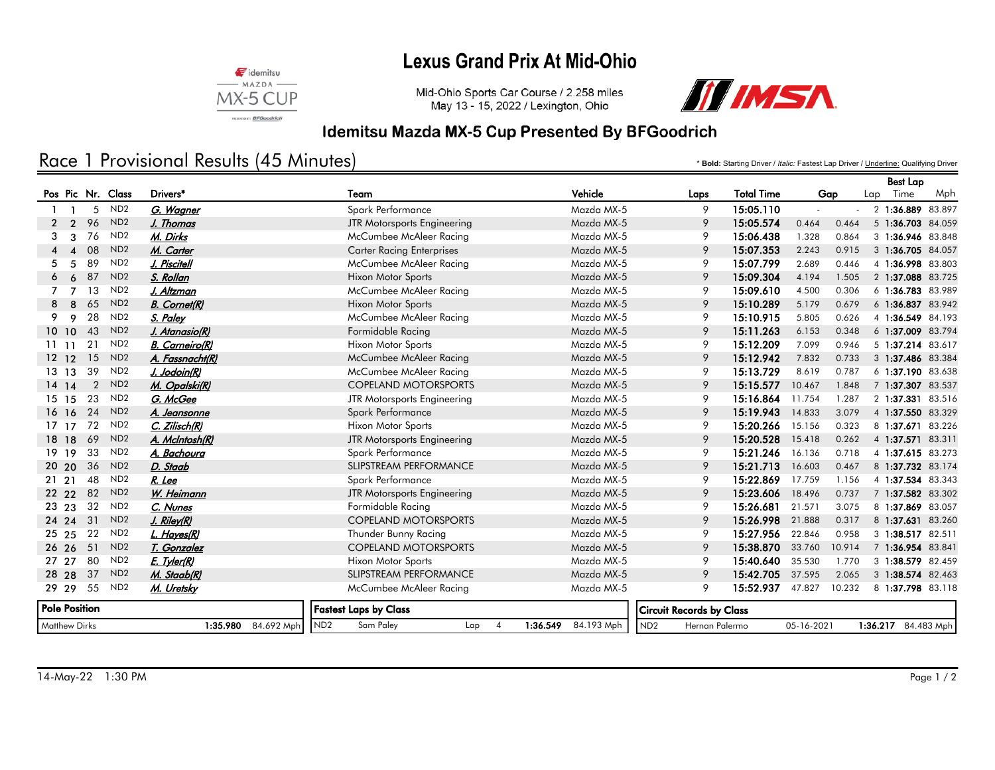# **Lexus Grand Prix At Mid-Ohio**



Mid-Ohio Sports Car Course / 2.258 miles May 13 - 15, 2022 / Lexington, Ohio



#### Idemitsu Mazda MX-5 Cup Presented By BFGoodrich

# Race 1 Provisional Results (45 Minutes)

\* **Bold:** Starting Driver / *Italic:* Fastest Lap Driver / Underline: Qualifying Driver

Best Lap

|                      |    |                 |                       |                                     |                             |                                   |                   |            |        |     | <b>Best Lap</b>     |        |
|----------------------|----|-----------------|-----------------------|-------------------------------------|-----------------------------|-----------------------------------|-------------------|------------|--------|-----|---------------------|--------|
| Pos Pic Nr. Class    |    |                 | Drivers <sup>*</sup>  | Team                                | Vehicle                     | Laps                              | <b>Total Time</b> |            | Gap    | Lap | Time                | Mph    |
|                      | 5  | ND <sub>2</sub> | G. Wagner             | Spark Performance                   | Mazda MX-5                  | 9                                 | 15:05.110         | $\sim$     |        |     | 2 1:36.889 83.897   |        |
| $\overline{2}$       | 96 | ND <sub>2</sub> | J. Thomas             | JTR Motorsports Engineering         | Mazda MX-5                  | 9                                 | 15:05.574         | 0.464      | 0.464  |     | $5$ 1:36.703        | 84.059 |
| 3<br>3               | 76 | ND <sub>2</sub> | M. Dirks              | McCumbee McAleer Racing             | Mazda MX-5                  | 9                                 | 15:06.438         | 1.328      | 0.864  |     | 3 1:36.946 83.848   |        |
|                      | 08 | ND <sub>2</sub> | M. Carter             | <b>Carter Racing Enterprises</b>    | Mazda MX-5                  | 9                                 | 15:07.353         | 2.243      | 0.915  |     | 3 1:36.705 84.057   |        |
| 5<br>5               | 89 | ND <sub>2</sub> | J. Piscitell          | McCumbee McAleer Racing             | Mazda MX-5                  | 9                                 | 15:07.799         | 2.689      | 0.446  |     | 4 1:36.998 83.803   |        |
| 6                    | 87 | ND <sub>2</sub> | S. Rollan             | <b>Hixon Motor Sports</b>           | Mazda MX-5                  | 9                                 | 15:09.304         | 4.194      | 1.505  |     | 2 1:37.088 83.725   |        |
|                      | 13 | ND <sub>2</sub> | J. Altzman            | McCumbee McAleer Racing             | Mazda MX-5                  | 9                                 | 15:09.610         | 4.500      | 0.306  |     | 6 1:36.783 83.989   |        |
| 8                    | 65 | ND <sub>2</sub> | <b>B.</b> Cornet(R)   | <b>Hixon Motor Sports</b>           | Mazda MX-5                  | 9                                 | 15:10.289         | 5.179      | 0.679  |     | 6 1:36.837 83.942   |        |
| 9<br>Q               | 28 | ND <sub>2</sub> | <u>S. Paley</u>       | McCumbee McAleer Racing             | Mazda MX-5                  | 9                                 | 15:10.915         | 5.805      | 0.626  |     | 4 1:36.549 84.193   |        |
| 10 10                | 43 | ND <sub>2</sub> | J. Atanasio(R)        | Formidable Racing                   | Mazda MX-5                  | 9                                 | 15:11.263         | 6.153      | 0.348  |     | 6 1:37.009 83.794   |        |
| 11 11                | 21 | ND <sub>2</sub> | <b>B.</b> Carneiro(R) | <b>Hixon Motor Sports</b>           | Mazda MX-5                  | 9                                 | 15:12.209         | 7.099      | 0.946  |     | 5 1:37.214 83.617   |        |
| $12 \t12$            | 15 | ND <sub>2</sub> | A. Fassnacht(R)       | McCumbee McAleer Racing             | Mazda MX-5                  | 9                                 | 15:12.942         | 7.832      | 0.733  |     | 3 1:37.486 83.384   |        |
| 13, 13               | 39 | ND <sub>2</sub> | J. Jodoin(R)          | McCumbee McAleer Racing             | Mazda MX-5                  | 9                                 | 15:13.729         | 8.619      | 0.787  |     | 6 1:37.190 83.638   |        |
| $14 \t14$            | 2  | ND <sub>2</sub> | M. Opalski(R)         | <b>COPELAND MOTORSPORTS</b>         | Mazda MX-5                  | 9                                 | 15:15.577         | 10.467     | 1.848  |     | 7 1:37.307 83.537   |        |
| 15 15                | 23 | ND <sub>2</sub> | G. McGee              | JTR Motorsports Engineering         | Mazda MX-5                  | 9                                 | 15:16.864         | 11.754     | 1.287  |     | 2 1:37.331 83.516   |        |
| 16 <sup>16</sup>     | 24 | ND <sub>2</sub> | A. Jeansonne          | Spark Performance                   | Mazda MX-5                  | 9                                 | 15:19.943         | 14.833     | 3.079  |     | 4 1:37.550 83.329   |        |
| 17 17                | 72 | ND <sub>2</sub> | C. Zilisch(R)         | Hixon Motor Sports                  | Mazda MX-5                  | 9                                 | 15:20.266         | 15.156     | 0.323  |     | 8 1:37.671 83.226   |        |
| 18 18                | 69 | ND <sub>2</sub> | A. McIntosh(R)        | JTR Motorsports Engineering         | Mazda MX-5                  | 9                                 | 15:20.528         | 15.418     | 0.262  |     | 4 1:37.571 83.311   |        |
| 19 19                | 33 | ND <sub>2</sub> | A. Bachoura           | Spark Performance                   | Mazda MX-5                  | 9                                 | 15:21.246         | 16.136     | 0.718  |     | 4 1:37.615 83.273   |        |
| 20 20                | 36 | ND <sub>2</sub> | D. Staab              | <b>SLIPSTREAM PERFORMANCE</b>       | Mazda MX-5                  | 9                                 | 15:21.713         | 16.603     | 0.467  |     | 8 1:37.732 83.174   |        |
| 21 21                | 48 | ND <sub>2</sub> | <u>R. Lee</u>         | Spark Performance                   | Mazda MX-5                  | 9                                 | 15:22.869         | 17.759     | 1.156  |     | 4 1:37.534 83.343   |        |
| 22 22                | 82 | ND <sub>2</sub> | W. Heimann            | JTR Motorsports Engineering         | Mazda MX-5                  | 9                                 | 15:23.606         | 18.496     | 0.737  |     | 7 1:37.582 83.302   |        |
| 23 23                | 32 | ND <sub>2</sub> | C. Nunes              | Formidable Racing                   | Mazda MX-5                  | 9                                 | 15:26.681         | 21.571     | 3.075  |     | 8 1:37.869 83.057   |        |
| 24 24                | 31 | ND <sub>2</sub> | J. Riley(R)           | <b>COPELAND MOTORSPORTS</b>         | Mazda MX-5                  | 9                                 | 15:26.998         | 21.888     | 0.317  |     | 8 1:37.631 83.260   |        |
| 25 25                | 22 | ND <sub>2</sub> | L. Hayes(R)           | Thunder Bunny Racing                | Mazda MX-5                  | 9                                 | 15:27.956         | 22.846     | 0.958  |     | 3 1:38.517 82.511   |        |
| 26 26                | 51 | ND <sub>2</sub> | T. Gonzalez           | <b>COPELAND MOTORSPORTS</b>         | Mazda MX-5                  | 9                                 | 15:38.870         | 33.760     | 10.914 |     | 7 1:36.954 83.841   |        |
| 27 27                | 80 | ND <sub>2</sub> | E. Tyler(R)           | <b>Hixon Motor Sports</b>           | Mazda MX-5                  | 9                                 | 15:40.640         | 35.530     | 1.770  |     | 3 1:38.579 82.459   |        |
| 28 28                | 37 | ND <sub>2</sub> | M. Staab(R)           | SLIPSTREAM PERFORMANCE              | Mazda MX-5                  | 9                                 | 15:42.705         | 37.595     | 2.065  |     | 3 1:38.574 82.463   |        |
| 29 29                | 55 | ND <sub>2</sub> | M. Uretsky            | McCumbee McAleer Racing             | Mazda MX-5                  | 9                                 | 15:52.937         | 47.827     | 10.232 |     | 8 1:37.798 83.118   |        |
| <b>Pole Position</b> |    |                 |                       | <b>Fastest Laps by Class</b>        |                             | <b>Circuit Records by Class</b>   |                   |            |        |     |                     |        |
| <b>Matthew Dirks</b> |    |                 | 1:35.980 84.692 Mph   | ND <sub>2</sub><br>Sam Paley<br>Lap | 1:36.549<br>84.193 Mph<br>4 | ND <sub>2</sub><br>Hernan Palermo |                   | 05-16-2021 |        |     | 1:36.217 84.483 Mph |        |